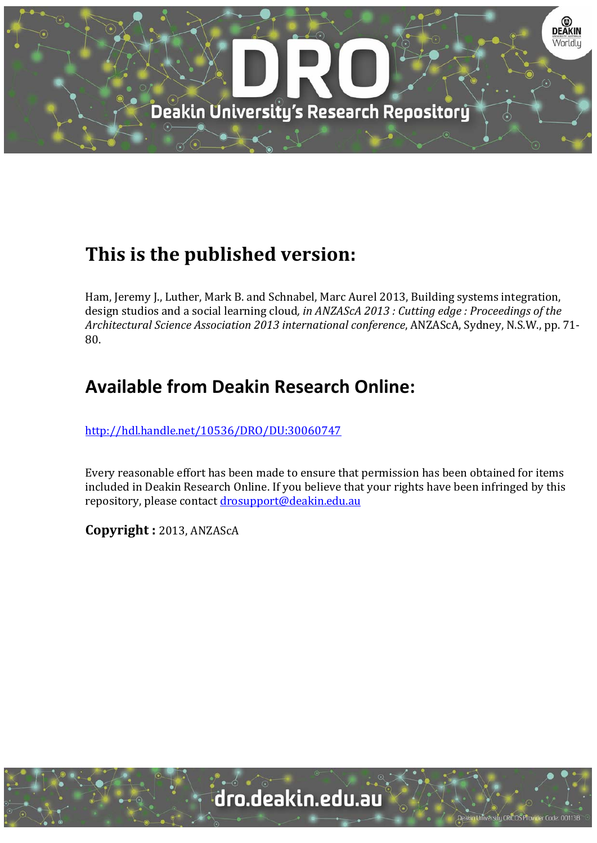

# **This is the published version:**

Ham, Jeremy J., Luther, Mark B. and Schnabel, Marc Aurel 2013, Building systems integration, design studios and a social learning cloud*, in ANZAScA 2013 : Cutting edge : Proceedings of the Architectural Science Association 2013 international conference*, ANZAScA, Sydney, N.S.W., pp. 71‐ 80. 

## **Available from Deakin Research Online:**

http://hdl.handle.net/10536/DRO/DU:30060747

Every reasonable effort has been made to ensure that permission has been obtained for items included in Deakin Research Online. If you believe that your rights have been infringed by this repository, please contact drosupport@deakin.edu.au

**Copyright :** 2013, ANZAScA 

University CRICOS Provider Code: 00113E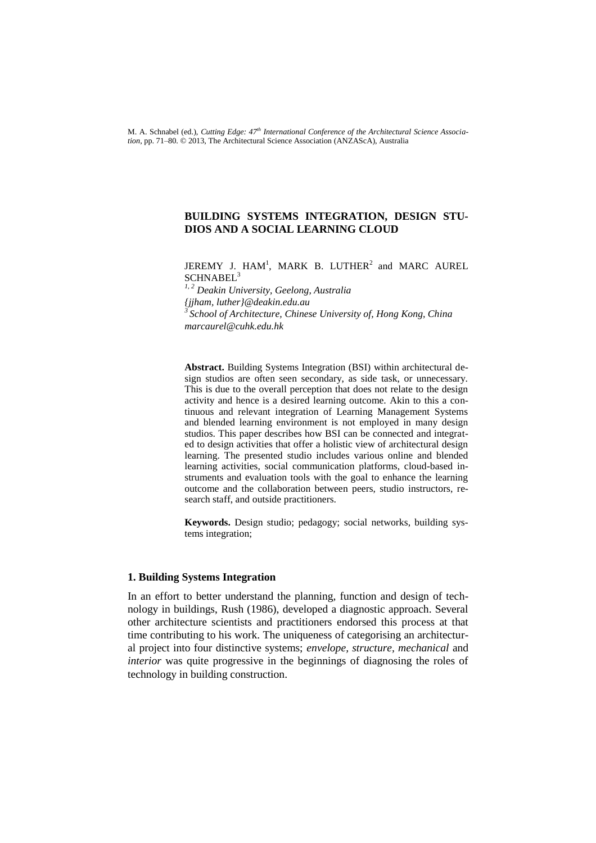M. A. Schnabel (ed.), *Cutting Edge: 47th International Conference of the Architectural Science Association,* pp. 71–80. © 2013, The Architectural Science Association (ANZAScA), Australia

## **BUILDING SYSTEMS INTEGRATION, DESIGN STU-DIOS AND A SOCIAL LEARNING CLOUD**

JEREMY J. HAM<sup>1</sup>, MARK B. LUTHER<sup>2</sup> and MARC AUREL SCHNABEL<sup>3</sup>

*1, 2 Deakin University, Geelong, Australia {jjham, luther}@deakin.edu.au 3 School of Architecture, Chinese University of, Hong Kong, China marcaurel@cuhk.edu.hk*

**Abstract.** Building Systems Integration (BSI) within architectural design studios are often seen secondary, as side task, or unnecessary. This is due to the overall perception that does not relate to the design activity and hence is a desired learning outcome. Akin to this a continuous and relevant integration of Learning Management Systems and blended learning environment is not employed in many design studios. This paper describes how BSI can be connected and integrated to design activities that offer a holistic view of architectural design learning. The presented studio includes various online and blended learning activities, social communication platforms, cloud-based instruments and evaluation tools with the goal to enhance the learning outcome and the collaboration between peers, studio instructors, research staff, and outside practitioners.

**Keywords.** Design studio; pedagogy; social networks, building systems integration;

## **1. Building Systems Integration**

In an effort to better understand the planning, function and design of technology in buildings, Rush (1986), developed a diagnostic approach. Several other architecture scientists and practitioners endorsed this process at that time contributing to his work. The uniqueness of categorising an architectural project into four distinctive systems; *envelope, structure, mechanical* and *interior* was quite progressive in the beginnings of diagnosing the roles of technology in building construction.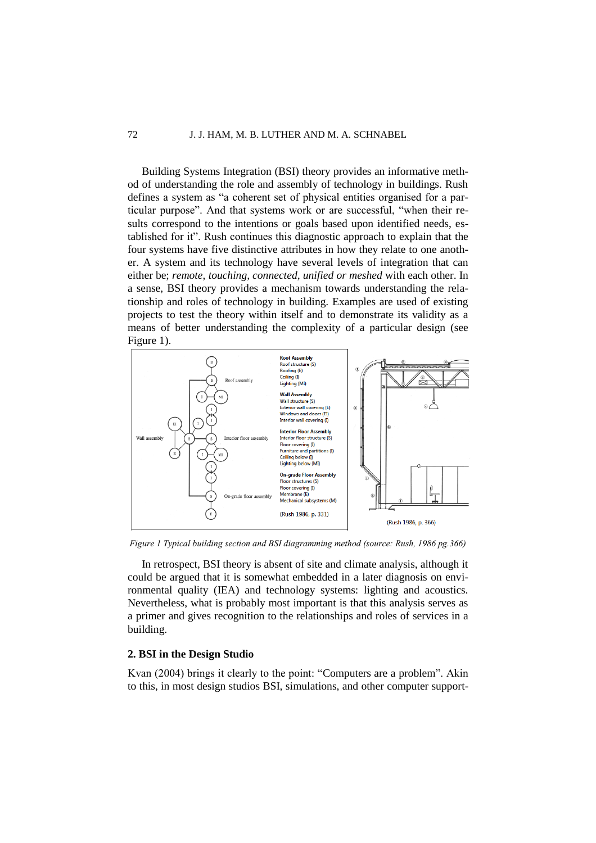Building Systems Integration (BSI) theory provides an informative method of understanding the role and assembly of technology in buildings. Rush defines a system as "a coherent set of physical entities organised for a particular purpose". And that systems work or are successful, "when their results correspond to the intentions or goals based upon identified needs, established for it". Rush continues this diagnostic approach to explain that the four systems have five distinctive attributes in how they relate to one another. A system and its technology have several levels of integration that can either be; *remote*, *touching, connected, unified or meshed* with each other. In a sense, BSI theory provides a mechanism towards understanding the relationship and roles of technology in building. Examples are used of existing projects to test the theory within itself and to demonstrate its validity as a means of better understanding the complexity of a particular design (see Figure 1).



*Figure 1 Typical building section and BSI diagramming method (source: Rush, 1986 pg.366)*

In retrospect, BSI theory is absent of site and climate analysis, although it could be argued that it is somewhat embedded in a later diagnosis on environmental quality (IEA) and technology systems: lighting and acoustics. Nevertheless, what is probably most important is that this analysis serves as a primer and gives recognition to the relationships and roles of services in a building.

## **2. BSI in the Design Studio**

Kvan (2004) brings it clearly to the point: "Computers are a problem". Akin to this, in most design studios BSI, simulations, and other computer support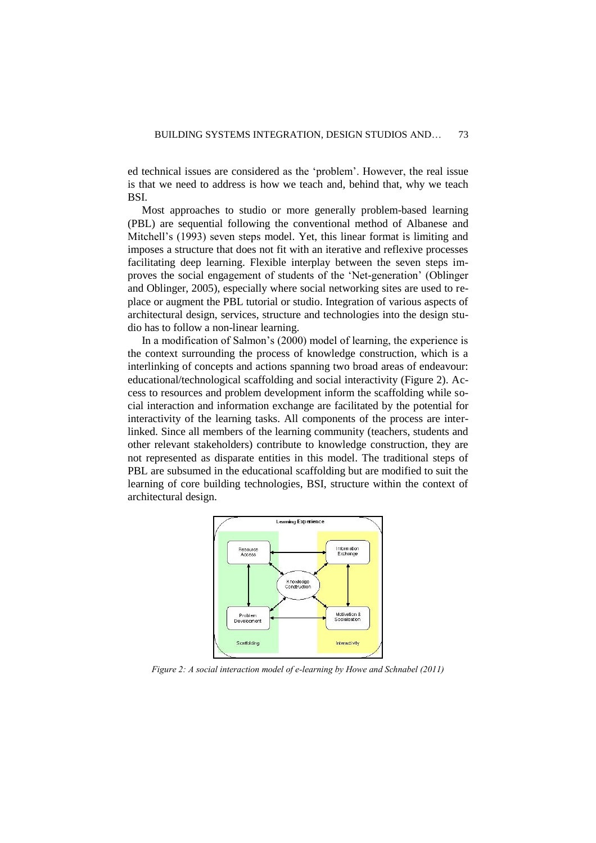ed technical issues are considered as the 'problem'. However, the real issue is that we need to address is how we teach and, behind that, why we teach BSI.

Most approaches to studio or more generally problem-based learning (PBL) are sequential following the conventional method of Albanese and Mitchell's (1993) seven steps model. Yet, this linear format is limiting and imposes a structure that does not fit with an iterative and reflexive processes facilitating deep learning. Flexible interplay between the seven steps improves the social engagement of students of the 'Net-generation' (Oblinger and Oblinger, 2005), especially where social networking sites are used to replace or augment the PBL tutorial or studio. Integration of various aspects of architectural design, services, structure and technologies into the design studio has to follow a non-linear learning.

In a modification of Salmon's (2000) model of learning, the experience is the context surrounding the process of knowledge construction, which is a interlinking of concepts and actions spanning two broad areas of endeavour: educational/technological scaffolding and social interactivity (Figure 2). Access to resources and problem development inform the scaffolding while social interaction and information exchange are facilitated by the potential for interactivity of the learning tasks. All components of the process are interlinked. Since all members of the learning community (teachers, students and other relevant stakeholders) contribute to knowledge construction, they are not represented as disparate entities in this model. The traditional steps of PBL are subsumed in the educational scaffolding but are modified to suit the learning of core building technologies, BSI, structure within the context of architectural design.



*Figure 2: A social interaction model of e-learning by Howe and Schnabel (2011)*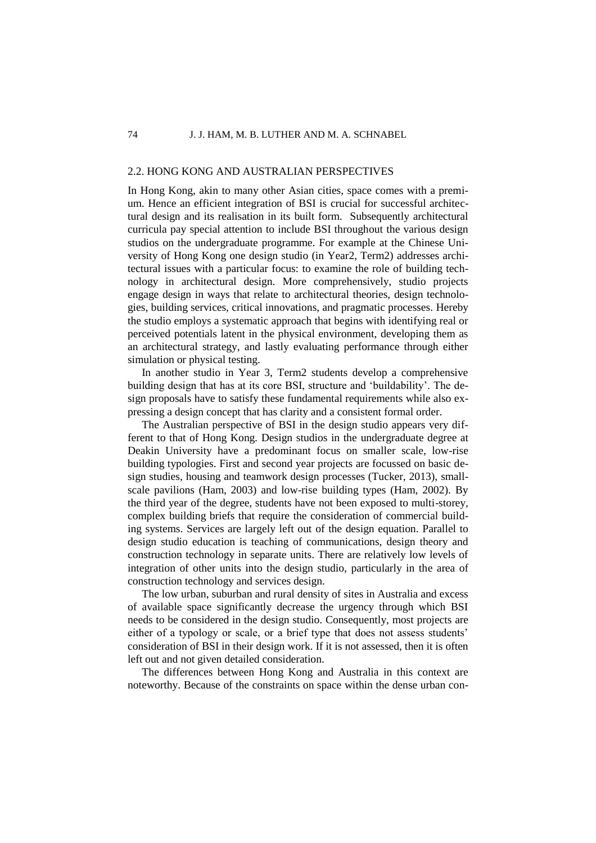## 2.2. HONG KONG AND AUSTRALIAN PERSPECTIVES

In Hong Kong, akin to many other Asian cities, space comes with a premium. Hence an efficient integration of BSI is crucial for successful architectural design and its realisation in its built form. Subsequently architectural curricula pay special attention to include BSI throughout the various design studios on the undergraduate programme. For example at the Chinese University of Hong Kong one design studio (in Year2, Term2) addresses architectural issues with a particular focus: to examine the role of building technology in architectural design. More comprehensively, studio projects engage design in ways that relate to architectural theories, design technologies, building services, critical innovations, and pragmatic processes. Hereby the studio employs a systematic approach that begins with identifying real or perceived potentials latent in the physical environment, developing them as an architectural strategy, and lastly evaluating performance through either simulation or physical testing.

In another studio in Year 3, Term2 students develop a comprehensive building design that has at its core BSI, structure and 'buildability'. The design proposals have to satisfy these fundamental requirements while also expressing a design concept that has clarity and a consistent formal order.

The Australian perspective of BSI in the design studio appears very different to that of Hong Kong. Design studios in the undergraduate degree at Deakin University have a predominant focus on smaller scale, low-rise building typologies. First and second year projects are focussed on basic design studies, housing and teamwork design processes (Tucker, 2013), smallscale pavilions (Ham, 2003) and low-rise building types (Ham, 2002). By the third year of the degree, students have not been exposed to multi-storey, complex building briefs that require the consideration of commercial building systems. Services are largely left out of the design equation. Parallel to design studio education is teaching of communications, design theory and construction technology in separate units. There are relatively low levels of integration of other units into the design studio, particularly in the area of construction technology and services design.

The low urban, suburban and rural density of sites in Australia and excess of available space significantly decrease the urgency through which BSI needs to be considered in the design studio. Consequently, most projects are either of a typology or scale, or a brief type that does not assess students' consideration of BSI in their design work. If it is not assessed, then it is often left out and not given detailed consideration.

The differences between Hong Kong and Australia in this context are noteworthy. Because of the constraints on space within the dense urban con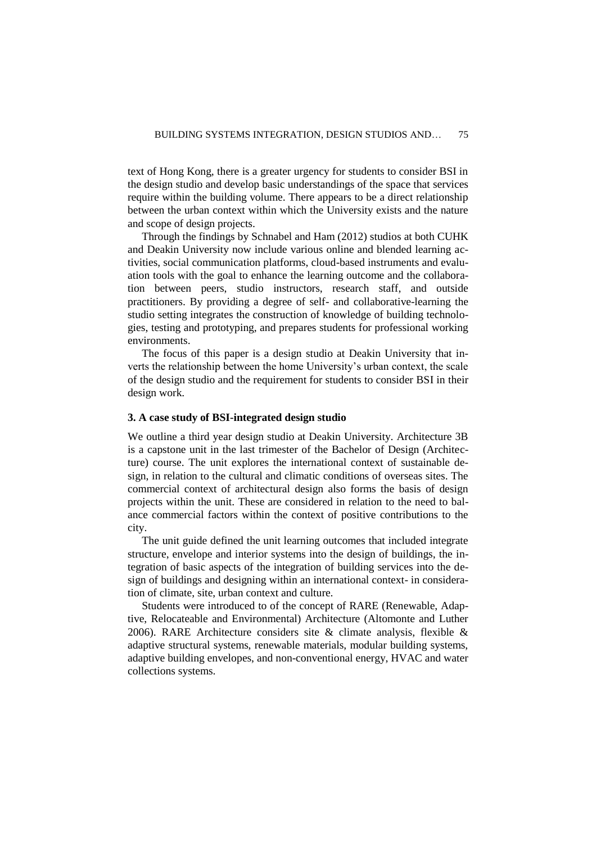text of Hong Kong, there is a greater urgency for students to consider BSI in the design studio and develop basic understandings of the space that services require within the building volume. There appears to be a direct relationship between the urban context within which the University exists and the nature and scope of design projects.

Through the findings by Schnabel and Ham (2012) studios at both CUHK and Deakin University now include various online and blended learning activities, social communication platforms, cloud-based instruments and evaluation tools with the goal to enhance the learning outcome and the collaboration between peers, studio instructors, research staff, and outside practitioners. By providing a degree of self- and collaborative-learning the studio setting integrates the construction of knowledge of building technologies, testing and prototyping, and prepares students for professional working environments.

The focus of this paper is a design studio at Deakin University that inverts the relationship between the home University's urban context, the scale of the design studio and the requirement for students to consider BSI in their design work.

## **3. A case study of BSI-integrated design studio**

We outline a third year design studio at Deakin University. Architecture 3B is a capstone unit in the last trimester of the Bachelor of Design (Architecture) course. The unit explores the international context of sustainable design, in relation to the cultural and climatic conditions of overseas sites. The commercial context of architectural design also forms the basis of design projects within the unit. These are considered in relation to the need to balance commercial factors within the context of positive contributions to the city.

The unit guide defined the unit learning outcomes that included integrate structure, envelope and interior systems into the design of buildings, the integration of basic aspects of the integration of building services into the design of buildings and designing within an international context- in consideration of climate, site, urban context and culture.

Students were introduced to of the concept of RARE (Renewable, Adaptive, Relocateable and Environmental) Architecture (Altomonte and Luther 2006). RARE Architecture considers site & climate analysis, flexible & adaptive structural systems, renewable materials, modular building systems, adaptive building envelopes, and non-conventional energy, HVAC and water collections systems.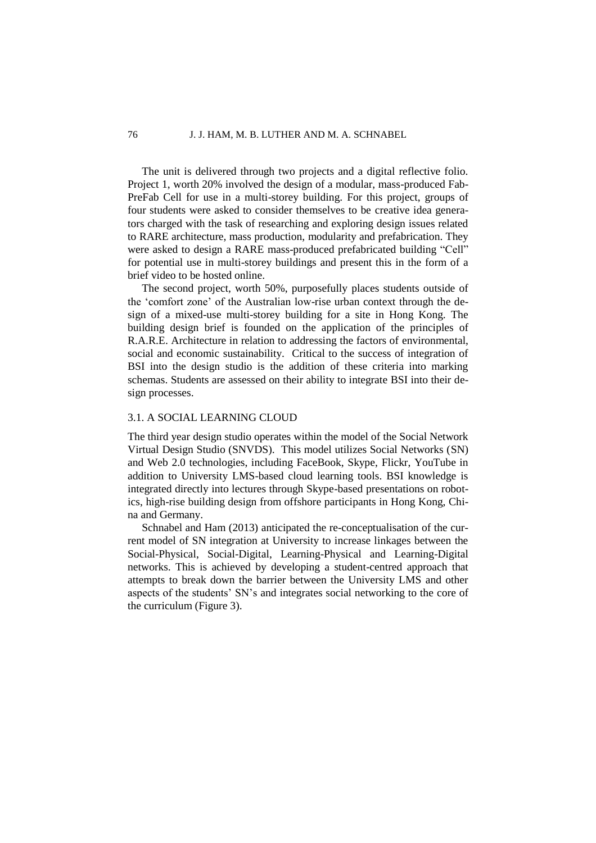The unit is delivered through two projects and a digital reflective folio. Project 1, worth 20% involved the design of a modular, mass-produced Fab-PreFab Cell for use in a multi-storey building. For this project, groups of four students were asked to consider themselves to be creative idea generators charged with the task of researching and exploring design issues related to RARE architecture, mass production, modularity and prefabrication. They were asked to design a RARE mass-produced prefabricated building "Cell" for potential use in multi-storey buildings and present this in the form of a brief video to be hosted online.

The second project, worth 50%, purposefully places students outside of the 'comfort zone' of the Australian low-rise urban context through the design of a mixed-use multi-storey building for a site in Hong Kong. The building design brief is founded on the application of the principles of R.A.R.E. Architecture in relation to addressing the factors of environmental, social and economic sustainability. Critical to the success of integration of BSI into the design studio is the addition of these criteria into marking schemas. Students are assessed on their ability to integrate BSI into their design processes.

## 3.1. A SOCIAL LEARNING CLOUD

The third year design studio operates within the model of the Social Network Virtual Design Studio (SNVDS). This model utilizes Social Networks (SN) and Web 2.0 technologies, including FaceBook, Skype, Flickr, YouTube in addition to University LMS-based cloud learning tools. BSI knowledge is integrated directly into lectures through Skype-based presentations on robotics, high-rise building design from offshore participants in Hong Kong, China and Germany.

Schnabel and Ham (2013) anticipated the re-conceptualisation of the current model of SN integration at University to increase linkages between the Social-Physical, Social-Digital, Learning-Physical and Learning-Digital networks. This is achieved by developing a student-centred approach that attempts to break down the barrier between the University LMS and other aspects of the students' SN's and integrates social networking to the core of the curriculum (Figure 3).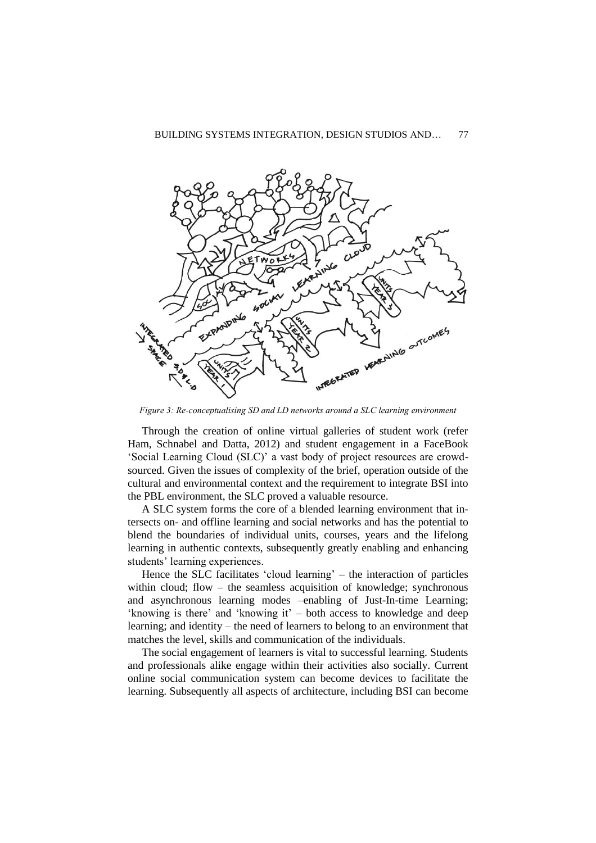#### BUILDING SYSTEMS INTEGRATION, DESIGN STUDIOS AND... 77



*Figure 3: Re-conceptualising SD and LD networks around a SLC learning environment*

Through the creation of online virtual galleries of student work (refer Ham, Schnabel and Datta, 2012) and student engagement in a FaceBook 'Social Learning Cloud (SLC)' a vast body of project resources are crowdsourced. Given the issues of complexity of the brief, operation outside of the cultural and environmental context and the requirement to integrate BSI into the PBL environment, the SLC proved a valuable resource.

A SLC system forms the core of a blended learning environment that intersects on- and offline learning and social networks and has the potential to blend the boundaries of individual units, courses, years and the lifelong learning in authentic contexts, subsequently greatly enabling and enhancing students' learning experiences.

Hence the SLC facilitates 'cloud learning' – the interaction of particles within cloud; flow – the seamless acquisition of knowledge; synchronous and asynchronous learning modes –enabling of Just-In-time Learning; 'knowing is there' and 'knowing it' – both access to knowledge and deep learning; and identity – the need of learners to belong to an environment that matches the level, skills and communication of the individuals.

The social engagement of learners is vital to successful learning. Students and professionals alike engage within their activities also socially. Current online social communication system can become devices to facilitate the learning. Subsequently all aspects of architecture, including BSI can become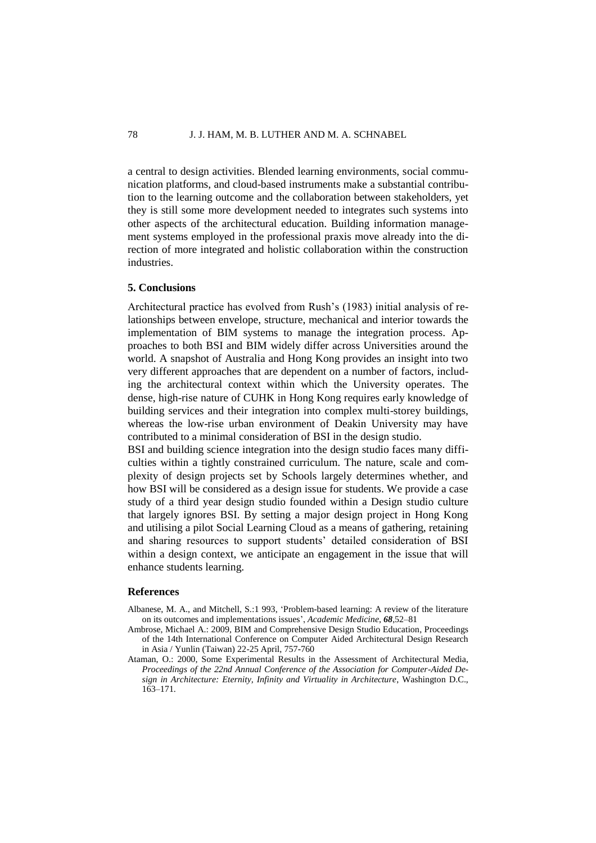a central to design activities. Blended learning environments, social communication platforms, and cloud-based instruments make a substantial contribution to the learning outcome and the collaboration between stakeholders, yet they is still some more development needed to integrates such systems into other aspects of the architectural education. Building information management systems employed in the professional praxis move already into the direction of more integrated and holistic collaboration within the construction industries.

#### **5. Conclusions**

Architectural practice has evolved from Rush's (1983) initial analysis of relationships between envelope, structure, mechanical and interior towards the implementation of BIM systems to manage the integration process. Approaches to both BSI and BIM widely differ across Universities around the world. A snapshot of Australia and Hong Kong provides an insight into two very different approaches that are dependent on a number of factors, including the architectural context within which the University operates. The dense, high-rise nature of CUHK in Hong Kong requires early knowledge of building services and their integration into complex multi-storey buildings, whereas the low-rise urban environment of Deakin University may have contributed to a minimal consideration of BSI in the design studio.

BSI and building science integration into the design studio faces many difficulties within a tightly constrained curriculum. The nature, scale and complexity of design projects set by Schools largely determines whether, and how BSI will be considered as a design issue for students. We provide a case study of a third year design studio founded within a Design studio culture that largely ignores BSI. By setting a major design project in Hong Kong and utilising a pilot Social Learning Cloud as a means of gathering, retaining and sharing resources to support students' detailed consideration of BSI within a design context, we anticipate an engagement in the issue that will enhance students learning.

## **References**

- Albanese, M. A., and Mitchell, S.:1 993, 'Problem-based learning: A review of the literature on its outcomes and implementations issues', *Academic Medicine*, *68*,52–81
- Ambrose, Michael A.: 2009, [BIM and Comprehensive Design Studio Education,](http://cumincad.scix.net/cgi-bin/works/Show?_id=caadria2009_021&sort=DEFAULT&search=bim&hits=160) Proceedings of the 14th International Conference on Computer Aided Architectural Design Research in Asia / Yunlin (Taiwan) 22-25 April, 757**-**760
- Ataman, O.: 2000, Some Experimental Results in the Assessment of Architectural Media, *Proceedings of the 22nd Annual Conference of the Association for Computer-Aided Design in Architecture: Eternity, Infinity and Virtuality in Architecture*, Washington D.C., 163–171.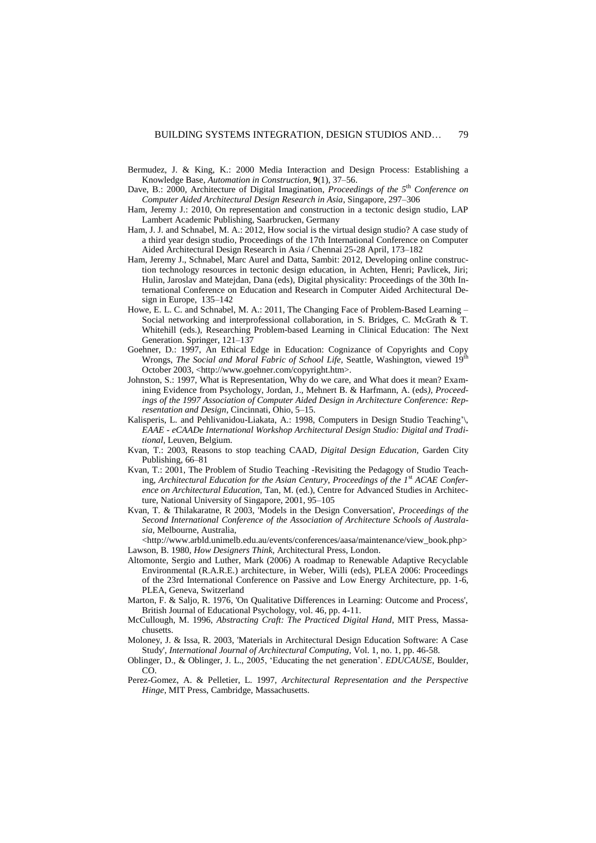- Bermudez, J. & King, K.: 2000 Media Interaction and Design Process: Establishing a Knowledge Base, *Automation in Construction,* **9**(1), 37–56.
- Dave, B.: 2000, Architecture of Digital Imagination, *Proceedings of the 5*th *Conference on Computer Aided Architectural Design Research in Asia*, Singapore, 297–306
- Ham, Jeremy J.: 2010, On representation and construction in a tectonic design studio, LAP Lambert Academic Publishing, Saarbrucken, Germany
- Ham, J. J. and Schnabel, M. A.: 2012, [How social is the virtual design studio? A case study of](http://cumincad.scix.net/cgi-bin/works/Show?_id=caadria2012_052&sort=DEFAULT&search=ham&hits=13)  [a third year design studio,](http://cumincad.scix.net/cgi-bin/works/Show?_id=caadria2012_052&sort=DEFAULT&search=ham&hits=13) Proceedings of the 17th International Conference on Computer Aided Architectural Design Research in Asia / Chennai 25-28 April, 173–182
- Ham, Jeremy J., [Schnabel, Marc Aurel](http://www.deakin.edu.au/research/admin/pubs/reports/database/dynamic/output/person/person.php?person_code=schnama&cat_code=) and [Datta, Sambit:](http://www.deakin.edu.au/research/admin/pubs/reports/database/dynamic/output/person/person.php?person_code=dattasa&cat_code=) 2012, Developing online construction technology resources in tectonic design education, in Achten, Henri; Pavlicek, Jiri; Hulin, Jaroslav and Matejdan, Dana (eds), Digital physicality: Proceedings of the 30th International Conference on Education and Research in Computer Aided Architectural Design in Europe, 135–142
- Howe, E. L. C. and Schnabel, M. A.: 2011, The Changing Face of Problem-Based Learning Social networking and interprofessional collaboration, in S. Bridges, C. McGrath & T. Whitehill (eds.), Researching Problem-based Learning in Clinical Education: The Next Generation. Springer, 121–137
- Goehner, D.: 1997, An Ethical Edge in Education: Cognizance of Copyrights and Copy Wrongs, *The Social and Moral Fabric of School Life*, Seattle, Washington, viewed 19th October 2003, <http://www.goehner.com/copyright.htm>.
- Johnston, S.: 1997, What is Representation, Why do we care, and What does it mean? Examining Evidence from Psychology, Jordan, J., Mehnert B. & Harfmann, A. (eds*), Proceedings of the 1997 Association of Computer Aided Design in Architecture Conference: Representation and Design*, Cincinnati, Ohio, 5–15.
- Kalisperis, L. and Pehlivanidou-Liakata, A.: 1998, Computers in Design Studio Teaching'\, *EAAE - eCAADe International Workshop Architectural Design Studio: Digital and Traditional,* Leuven, Belgium.
- Kvan, T.: 2003, Reasons to stop teaching CAAD, *Digital Design Education,* Garden City Publishing, 66–81
- Kvan, T.: 2001, The Problem of Studio Teaching -Revisiting the Pedagogy of Studio Teaching, *Architectural Education for the Asian Century, Proceedings of the 1<sup>st</sup> ACAE Conference on Architectural Education,* Tan, M. (ed.), Centre for Advanced Studies in Architecture, National University of Singapore, 2001, 95–105
- Kvan, T. & Thilakaratne, R 2003, 'Models in the Design Conversation', *Proceedings of the Second International Conference of the Association of Architecture Schools of Australasia,* Melbourne, Australia,

<http://www.arbld.unimelb.edu.au/events/conferences/aasa/maintenance/view\_book.php> Lawson, B. 1980, *How Designers Think,* Architectural Press, London.

- [Altomonte, Sergio](http://www.deakin.edu.au/research/admin/pubs/reports/database/dynamic/output/person/person.php?person_code=altomse&cat_code=) and Luther, Mark (2006) A roadmap to Renewable Adaptive Recyclable Environmental (R.A.R.E.) architecture, in Weber, Willi (eds), PLEA 2006: Proceedings of the 23rd International Conference on Passive and Low Energy Architecture, pp. 1-6, PLEA, Geneva, Switzerland
- Marton, F. & Saljo, R. 1976, 'On Qualitative Differences in Learning: Outcome and Process', British Journal of Educational Psychology, vol. 46, pp. 4-11.
- McCullough, M. 1996, *Abstracting Craft: The Practiced Digital Hand*, MIT Press, Massachusetts.
- Moloney, J. & Issa, R. 2003, 'Materials in Architectural Design Education Software: A Case Study', *International Journal of Architectural Computing,* Vol. 1, no. 1, pp. 46-58.
- Oblinger, D., & Oblinger, J. L., 2005, 'Educating the net generation'. *EDUCAUSE,* Boulder, CO.
- Perez-Gomez, A. & Pelletier, L. 1997, *Architectural Representation and the Perspective Hinge*, MIT Press, Cambridge, Massachusetts.